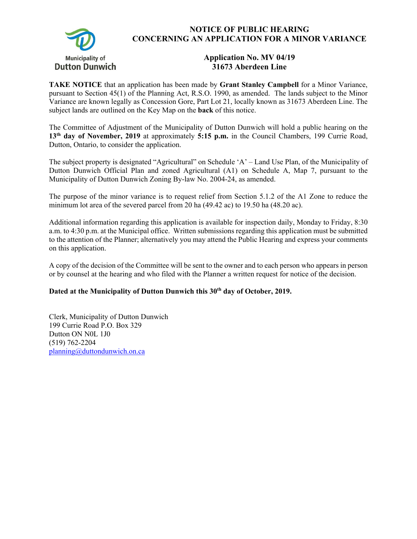

## **NOTICE OF PUBLIC HEARING CONCERNING AN APPLICATION FOR A MINOR VARIANCE**

## **Application No. MV 04/19 31673 Aberdeen Line**

**TAKE NOTICE** that an application has been made by **Grant Stanley Campbell** for a Minor Variance, pursuant to Section 45(1) of the Planning Act, R.S.O. 1990, as amended. The lands subject to the Minor Variance are known legally as Concession Gore, Part Lot 21, locally known as 31673 Aberdeen Line. The subject lands are outlined on the Key Map on the **back** of this notice.

The Committee of Adjustment of the Municipality of Dutton Dunwich will hold a public hearing on the **13th day of November, 2019** at approximately **5:15 p.m.** in the Council Chambers, 199 Currie Road, Dutton, Ontario, to consider the application.

The subject property is designated "Agricultural" on Schedule 'A' – Land Use Plan, of the Municipality of Dutton Dunwich Official Plan and zoned Agricultural (A1) on Schedule A, Map 7, pursuant to the Municipality of Dutton Dunwich Zoning By-law No. 2004-24, as amended.

The purpose of the minor variance is to request relief from Section 5.1.2 of the A1 Zone to reduce the minimum lot area of the severed parcel from 20 ha (49.42 ac) to 19.50 ha (48.20 ac).

Additional information regarding this application is available for inspection daily, Monday to Friday, 8:30 a.m. to 4:30 p.m. at the Municipal office. Written submissions regarding this application must be submitted to the attention of the Planner; alternatively you may attend the Public Hearing and express your comments on this application.

A copy of the decision of the Committee will be sent to the owner and to each person who appears in person or by counsel at the hearing and who filed with the Planner a written request for notice of the decision.

## Dated at the Municipality of Dutton Dunwich this 30<sup>th</sup> day of October, 2019.

Clerk, Municipality of Dutton Dunwich 199 Currie Road P.O. Box 329 Dutton ON N0L 1J0 (519) 762-2204 planning@duttondunwich.on.ca